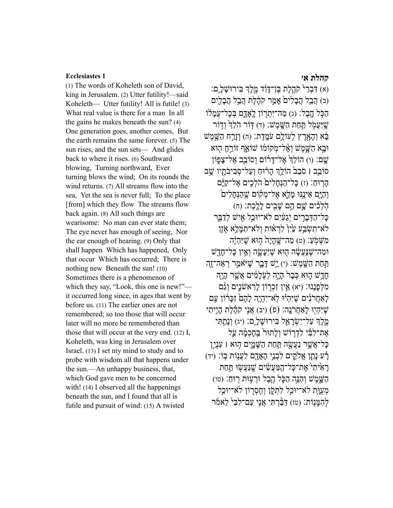(1) The words of Koheleth son of David, king in Jerusalem. (2) Utter futility!—said Koheleth— Utter futility! All is futile! (3) What real value is there for a man In all the gains he makes beneath the sun? (4) One generation goes, another comes, But the earth remains the same forever. (5) The sun rises, and the sun sets— And glides back to where it rises. (6) Southward blowing, Turning northward, Ever turning blows the wind; On its rounds the wind returns. (7) All streams flow into the sea, Yet the sea is never full; To the place [from] which they flow The streams flow back again. (8) All such things are wearisome: No man can ever state them; The eye never has enough of seeing, Nor the ear enough of hearing. (9) Only that shall happen Which has happened, Only that occur Which has occurred; There is nothing new Beneath the sun! (10) Sometimes there is a phenomenon of which they say, "Look, this one is new!" it occurred long since, in ages that went by before us. (11) The earlier ones are not remembered; so too those that will occur later will no more be remembered than those that will occur at the very end. (12) I, Koheleth, was king in Jerusalem over Israel. (13) I set my mind to study and to probe with wisdom all that happens under the sun.—An unhappy business, that, which God gave men to be concerned with! (14) I observed all the happenings beneath the sun, and I found that all is futile and pursuit of wind: (15) A twisted

**[קהלת א׳](https://www.sefaria.org/Ecclesiastes.1) [1 Ecclesiastes](https://www.sefaria.org/Ecclesiastes.1)** (א) דִּבְרֵי<sup>{</sup> קֹהֱלֶת בֶּן־דָּוָד מֶלֶדְ בִּירוּשָׁלָ ֵם: (ב) הַבֵּל הַבָּלִיםׂ אָמֵר קֹהֶׁלֵת הַבֵּל הַבָלִים הַכֹּל הִבְלָ: (ג) מִה־יִּתְרוֹן לְאָדָם בִּכְל־עַמְלֹוֹ שִׁיּעַמֹל תַּחַת הַשַּׁמֹשׁ: (ד) דּוֹר הֹלִדְּ וְדוֹר בָּׂא וְהָאָרֶץ לְעוֹלֵם עֹמֲדָת: (ה) וְזַרָח הַשֶּׁמֶשׁ וּבֵא הַשֵּׁמֵ<sup>ּ</sup>שׁ וְאֱל־מְקוֹמוֹ שׁוֹאֵף זוֹרֵחַ הִוּא שִׁם: (ו) הוֹלִדְּ אֶל־דְּרוֹם וְסוֹבֵב אֶל־צַפּוֹן וֹ סוֹבִב ן סֹבִב הוֹלִדְ הִרֹוּחָ וְעַל־סְבִיבֹתִיו שַׁב הָרוּחָ: (ז) כַּלִ־הְנַּחְלִיםۤ הֹלְכִים אֲל־קִיּּם וֹהִיּם אִינִנּוּ מִלְא אַל־מַקְוֹם שַׁהִנַּחְלִים הֹֽ לְכִ֔ ים שָׁ ֛ ם הֵ֥ם שָׁ בִ ֖ ים לָלָֽ כֶת׃ (ח) כַּל־הַדְּבַרִים יְגַעֵּ֫ים לֹאָ־יוּכַל אִישׁ לִדְבֵּר לֹא־תִשְׂבֵע עַׂיָן לִרְאֹוֹת וְלֹא־תִמֲלֵא אָזֶן מֹשֵׁמֹע: (ט) מה־שהיה הוּא שֵׁיָּה<sup>ַּ</sup>ה וּמַה־שֶׁנַּעֲשָׂה הִוּא שֶׁיֵּעֲשֶׂה וְאֵין כַּל־חַדָשׁ תַּחַת הַשֵּׁמֶשׁ: (י) יֵשׁ דָּבֵר שֵׁיּאמֵר רְאֶה־זֶה חֲדָשׁ הִוּא כִּבְרֹ הַיָּה לְעָלָמִ֫ים אֲשֶׁר הַיָּה מִלְּפַנֵּנוּ: (יא) אֵין זָכְרְוֹן לַרְאשֹׁנֵים וְגָ֫ם לַאַחֲרֹנִים שֶׁיִּהִיוּ לְאֹ־יִהְיֶה לַהֶם זִכֲרֹוֹן עֵם ֹשֶׁיִּהְיִוּ לַאֲחֲרֹנֵה: (פ) (יב) אֲנֵי קֹהֶ֫לֶת הֲיִיתִי מֶלֶךְ עַל־יִשַׂראָל בֵּירוּשָׁל ם: (יג) וְנַתַתִּי את־לִבֿי לִדְרוֹשׁ וְלִתוּר בַּחְכִמֹּה עַל כַּל־אֲשֵׁר נַעֲשַׂה תַּחַת הַשַּׁמַיִם הִוּא µ עִנְיַן רָע נַתַּו אֱלֹקֵים לִבְנֵי הָאֲדָם לַעֲנָוֹת בִּוֹ: (יד) ראָיתי את־כַּל־הַמַּעַשֹּׂים שַׁנַּעַשׂוּ תַּחַת הַשָּׁ ֑ מֶ שׁ וְ הִ נֵּ֥ה הַכֹּ֛ ל הֶ ֖בֶל וּרְ ע֥ וּת רֽ וּחַ׃ (טו) מִעוּת לֹא־יוּכל לִתְקֹן וְחָסְרוֹן לֹא־יוּכַל לְהָמֵּנִוֹת: (טז) דְּבַּ֫רְתִּי אֲנֵי עָם־לִבִּי<sup>ּ</sup> לֵאמֹר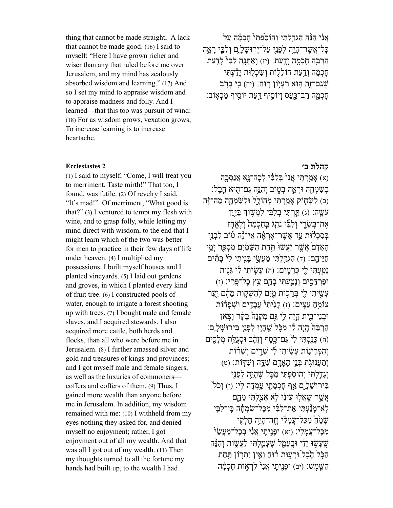thing that cannot be made straight, A lack that cannot be made good. (16) I said to myself: "Here I have grown richer and wiser than any that ruled before me over Jerusalem, and my mind has zealously absorbed wisdom and learning." (17) And so I set my mind to appraise wisdom and to appraise madness and folly. And I learned—that this too was pursuit of wind: (18) For as wisdom grows, vexation grows; To increase learning is to increase heartache.

# אֵנִ֫י הִנֵּה הִגְדַּלְתִּי וְהוֹסַפְתֵּי חִכְמֹה עֵל כַּל־אֲשֶׁר־הָיָה לְפָנַיִ עַל־יִרוּשַׁלַ ֵם וְלָבֵי רַאֲה הַרְבֵּה חַכְמֵה וַדָעַת: (יז) וַאֲתְּנֵה לִבְּי<sup>ֹ</sup> לַדָעַת חִכְמֹּה וְדַעַת הוֹלֵלוֹת וְשִׂכְלוּת ידַעַתֵּי ֹשֶׁ גַּם־זֶה הִוּא רַעְיִוֹן רִוּחַ: (יח) כֵּי בְּרֹב חַכְמָה רַב־כֵּעַס וְיוֹסִיף דַּעַת יוֹסִיף מַכְאָוֹב:

## **[קהלת ב׳](https://www.sefaria.org/Ecclesiastes.2) [2 Ecclesiastes](https://www.sefaria.org/Ecclesiastes.2)**

(1) I said to myself, "Come, I will treat you to merriment. Taste mirth!" That too, I found, was futile. (2) Of revelry I said, "It's mad!" Of merriment, "What good is that?" (3) I ventured to tempt my flesh with wine, and to grasp folly, while letting my mind direct with wisdom, to the end that I might learn which of the two was better for men to practice in their few days of life under heaven. (4) I multiplied my possessions. I built myself houses and I planted vineyards. (5) I laid out gardens and groves, in which I planted every kind of fruit tree. (6) I constructed pools of water, enough to irrigate a forest shooting up with trees. (7) I bought male and female slaves, and I acquired stewards. I also acquired more cattle, both herds and flocks, than all who were before me in Jerusalem. (8) I further amassed silver and gold and treasures of kings and provinces; and I got myself male and female singers, as well as the luxuries of commoners coffers and coffers of them. (9) Thus, I gained more wealth than anyone before me in Jerusalem. In addition, my wisdom remained with me: (10) I withheld from my eyes nothing they asked for, and denied myself no enjoyment; rather, I got enjoyment out of all my wealth. And that was all I got out of my wealth. (11) Then my thoughts turned to all the fortune my hands had built up, to the wealth I had

(א) אַמַרְתֵּי אֲנִי<sup>ֶ</sup> בְּלְבִּ֫י לְכָה־נֵּא אֲנַסְּכֵה) בְשָׂמְחָה וּרְאֱה בְטָוֹב וְהָנֱֵּה גַם־הָוּא הֲבֶלֹ: (ב) לִשְׂחָוֹק אֲמֵרְתִּי מְהוֹלֵל וּלְשָׂמְחָה מַה־זֹּה) עֹשָׂה: (ג) תַּרְתִּי בְלִבִּ֫י לִמְשָׁוֹךְ בַּיַּיִן אֶת־בִּשָׂרֵי וְלָבִּי נֹהֵג בַּחֲכְמַה<sup>ָ</sup> וְלֵאֱחִׂז בְּסָכְלֹוּת עַד אֲשֶׁר־אֶרְאֶ**֫ה אֵי־זֶּה טֿוֹב לִבְנֵי** הָאָדם אֲשֶׁר יַעֲשׂוּ תַּחַת הַשַּׁמַּיִם מִסְפֵּר יְמֵי חַיֵּיהֶם: (ד) הִגְדַּלְתִּי מַעֲשִׂי בִּנְיתִי לִ<sup>גְּ</sup> בִּתְּיִם נַטֲעָתִּי לִי כְּרַמֶּים: (ה) עֲשֵׂיתִי לִ<sup>י,</sup> גַּנִּוֹת וּפַרְ דֵּ סִ ֑ ים וְ נָטַ ֥עְ תִּ י בָהֶ ֖ם עֵ֥ץ כָּל־פֶּֽ רִ י׃ (ו) עַשִׂיתִי לִי בְּרֵכְוֹת מַיָם לְהַשָּׁקָוֹת מֶהֶם יַעֲר צוֹמֵחַ עֲצֵים: (ז) קְנִ<sup>י</sup>תְי<sup>וּ</sup> עֲבַדֵים וּשָׁפִחוֹת וּבְנֵי־בֵיִת הָיַה לֵי גַּם מִקְנֵהْ בַקָּר וַצָאן הַרְבָּהֹ הֲיָה לִׂי מִכֵּל שֱהָיִוּ לְפַנַיִ בִּירוּשַׁלַ ֵם: (ח) כּנַסְתִּי לִ<sup>גְ</sup> גַּם־כֶּסֶף וְזִהְב וּסְגַלֵּת מְלִכְים וְהַמְּדִינוֹת עַשִׂיתֵי לִ<sup>י</sup> שַׁרֵים וְשִׁרוֹת וְתַעֲנוּגֶת בְּנֵי הָאֲדָם *שְׁדָּה וְשָׁדּֽוֹת*: (ט) וְ גָדַלְתִּי וְהוֹסַפְתִּי מִכֵּל שֶׁהִיָּה לְפַנַי בִּירוּשֵׁלַ ֵם אַף חַכְמַתְי עֲמְדַה לֵּי: (י) וְכֹל<sup>י</sup> אַשֶׁר שָׁאֲלוּ עֵינַי לֹא אַצַלְתִּי מֵהֶם לֹא־מַנַּעָתִּי אֱת־לִבִּי מִכַּל־שָׂמְחָ֫ה כֵּי־לִבֵּי שַׁמָּהַ מִכּל־עֲמִלִי וְזֶה־הִיָּה חֵלְקֵי מִכּל־עֲמַלֵי: (יא) וּפִנֵיתֵי אֲנִ֫י בְּכַל־מַעֲשֵׂי שֵׁעֲשָׂוּ יַדַּי וּבֵעֲמַל שֶׁעֲמֵלְתִּי לַעֲשָׂוֹת וְהִנֵּ֣ה הַכִּל הֶבֶל וּרְעִוּת רוּחַ וְאֵין יִתְרוֹן תַּחַת הַשָּׁמֶשׁ: (יב) וּפִנֵיתֵי אֲנִ<sup>לְ</sup> לִרְאָוֹת חִכְמָּה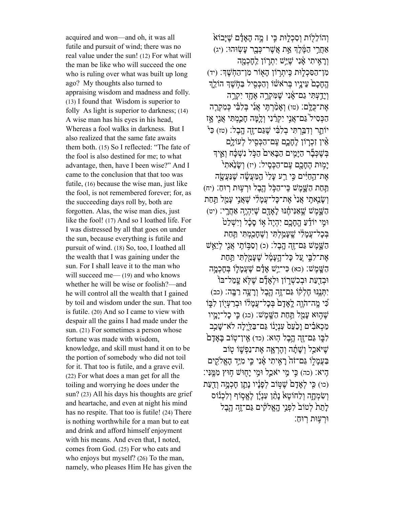acquired and won—and oh, it was all futile and pursuit of wind; there was no real value under the sun! (12) For what will the man be like who will succeed the one who is ruling over what was built up long ago? My thoughts also turned to appraising wisdom and madness and folly. (13) I found that Wisdom is superior to folly As light is superior to darkness; (14) A wise man has his eyes in his head, Whereas a fool walks in darkness. But I also realized that the same fate awaits them both. (15) So I reflected: "The fate of the fool is also destined for me; to what advantage, then, have I been wise?" And I came to the conclusion that that too was futile, (16) because the wise man, just like the fool, is not remembered forever; for, as the succeeding days roll by, both are forgotten. Alas, the wise man dies, just like the fool! (17) And so I loathed life. For I was distressed by all that goes on under the sun, because everything is futile and pursuit of wind. (18) So, too, I loathed all the wealth that I was gaining under the sun. For I shall leave it to the man who will succeed me— (19) and who knows whether he will be wise or foolish?—and he will control all the wealth that I gained by toil and wisdom under the sun. That too is futile. (20) And so I came to view with despair all the gains I had made under the sun. (21) For sometimes a person whose fortune was made with wisdom, knowledge, and skill must hand it on to be the portion of somebody who did not toil for it. That too is futile, and a grave evil. (22) For what does a man get for all the toiling and worrying he does under the sun? (23) All his days his thoughts are grief and heartache, and even at night his mind has no respite. That too is futile! (24) There is nothing worthwhile for a man but to eat and drink and afford himself enjoyment with his means. And even that, I noted, comes from God. (25) For who eats and who enjoys but myself? (26) To the man, namely, who pleases Him He has given the

וְהוֹלֵלוֹת וְסִכְלִוּת כֵּי וְ מֵה הָאֲדָּם שֶׁיַּבוֹא אַ חֲרֵ֣ י הַמֶּ֔ לֶ אֵ֥ ת אֲשֶׁ ר־כְּ בָ ֖ר עָשֽׂ וּהוּ׃ (יג) וְרַאֵיתִי אָ*ׂנִי שֶׁיֵּּשׁ יִתְרוֹן לַחָכְמָה* ֑ מִ ן־הַסִּ כְ לוּת כִּֽ יתְ ר֥ וֹן הָא֖ וֹר מִ ן־הַחֹֽ שֶׁ ׃ (יד) הֶחָכָם עֵינֵיו בְּרֹאשׁוֹ וְהַכְּסִיל בַּחִשֶׁׁךָ הוֹלֵךְ וִידַעָתִּי גַם־אָנִי שֶׁמִּקְרֶה אֶחָד יִקְרֶה אֶת־כֵּלֶ<sup>ּ</sup>ם: (טו) וְאָמַ֫רְתָּי אֲנִי בְּלִבִּ֫י כְּמִקְרֵה הַכְּסִיל<sup>י</sup> גַּם־אֲנֵי יִקְרֵ֫נִי וְלֵמֵּה חַכֵמְתִּי אֲנִי אָז יוֹתֵר וְדָבֵּרְתִּי בְלִבִּ֫י שֶׁגַּם־זֶה הֲבָל: (טז) כִּיْ אֵין זִכְרוֹן לִחְכָם עֲם־הַכְּסֵיל לְעוֹל<sup>ָ</sup>ם בְּשֶׁכָּבٗר הַיִּמֵים הַבַּאֵים הַכָּל נִשְׁכֹּה וְאֵיִד יָמִוּת הֶחָכֶם עֲם־הַכְּסֵיל: (יז) וְשָׂנֵאתִי אֶת־הַחַיִּٔים כֵּי רֵע עַלַ<sup>ן</sup> הַמַּעֲשֶׂה שֶׁנַּעֲשֶׂה תַּחַת הַשַּׁמֵשׁ כֵּי־הַכִּל הָבָל וּרְעִוּת רִוּחַ: (יח) וְשָׂנֵאתֵי אֲנִי{ אֱת־כַּל־עֲמַלִּי שֶׁאֲנֵי עַמֱל תַּחַת ִ הַשָּׁ ֑ מֶ שׁ שֶׁ ֣ אַ נִּיחֶ֔ נּוּ לָאָ דָ ֖ם שֶׁ יּהְ יֶ ֥ה אַ חֲרָֽ י׃ (יט) וּמֵי יוֹדָעַ הֶחִכְם יְהָיֶה אֵוֹ סכֹל וְיִשָּׁלַטֹ בְּכָל־עֲמַלִל ּ שֱעֲמֵלְתִּי וְשֶׁחֲכַמִתִּי תַּחַת הַשֵּׁמֵ<sup>ּיָ</sup> גַּם־זֶהְ הָבֶל: (כ) וְסַבְּוֹתֵי אֲנֵי לְיַאֵֽשׁ אֶת־לִבִּי עַל כַּל־הֱעַמַ*֫ל שֶׁ*עַמַלְתִּי תַּחַת הַשָּׁמֶשׁ: (כא) כִּי־יֵשׁ אַדָּם שֶׁעֲמִלֶּוֹ בְּחִכְמָה וּבְדַעַת וּבְכָשְׁרוֹן וּלְאַדָּם שֵׁלְ<sup>ּ</sup>א עַמַל־בּוֹ יִתְּנֵנּוּ חֶלְקוֹ גַּם־זֶה הֶבֶל וְרַעֲה רַבֵּה: (כב) כִֿי מֱה־הֹוֶה לֵאֲדָםۢ בִּכָל־עֲמַלֹּוֹ וּבְרַעְיָוֹן לִבְּוֹ שֶׁהָוּא עַמֲל תַּחַת הַשָּׁמֶשׁ: (כג) כֵּי כל־יִמִיו מַכְאֹבִ֫ים וּכַעֲסֹ עַנִינוֹ גַּם־בַּלַיֵלִה לֹא־שַׁבֵב לִבָּו גַּם־זֶה הֱבֶל הִוּא: (כד) אֱין־טִוֹב בַּאֲדָם שִׁיּאכֵל וְשָׁתֹה וְהֶרְאָה אֶת־נַפְּשֶׁוֹ טּוֹב בַּעֲמַלָוֹ גַּם־זֹה<sup>י</sup> רַאִיתִי אָנִי כֵּי מְיֵד הַאֱלֹקִים ָהִיא: (כה) כֵּי מֵי יֹאכֵל וּמֵי יַחֲוּשׁ חָוּץ מְמֵנִּי: (כו) כֵּי לְאַדָם<sup>ׂ</sup> שֵׁטִּוֹב לְפַנָיו נַתֵן חַכְמֵה וְדַעַת וְ יִשְׂמְחָה וְלָחוֹטֵא **נִתַּן עַנְיִן לְאֵסוֹף וְלִכְנוֹ**ס לְתֵת לְטוֹב לִפְנֵי הָאֱלֹקִים גַּם־זֶה הֶבֶל וּרְעִוּת רִוּחַ: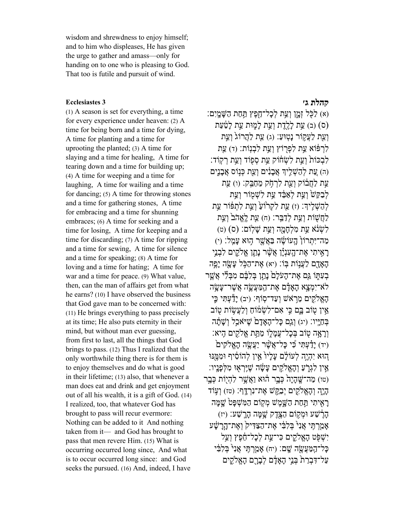wisdom and shrewdness to enjoy himself; and to him who displeases, He has given the urge to gather and amass—only for handing on to one who is pleasing to God. That too is futile and pursuit of wind.

## **[קהלת ג׳](https://www.sefaria.org/Ecclesiastes.3) [3 Ecclesiastes](https://www.sefaria.org/Ecclesiastes.3)**

(1) A season is set for everything, a time for every experience under heaven: (2) A time for being born and a time for dying, A time for planting and a time for uprooting the planted; (3) A time for slaying and a time for healing, A time for tearing down and a time for building up; (4) A time for weeping and a time for laughing, A time for wailing and a time for dancing; (5) A time for throwing stones and a time for gathering stones, A time for embracing and a time for shunning embraces; (6) A time for seeking and a time for losing, A time for keeping and a time for discarding; (7) A time for ripping and a time for sewing, A time for silence and a time for speaking; (8) A time for loving and a time for hating; A time for war and a time for peace. (9) What value, then, can the man of affairs get from what he earns? (10) I have observed the business that God gave man to be concerned with: (11) He brings everything to pass precisely at its time; He also puts eternity in their mind, but without man ever guessing, from first to last, all the things that God brings to pass. (12) Thus I realized that the only worthwhile thing there is for them is to enjoy themselves and do what is good in their lifetime; (13) also, that whenever a man does eat and drink and get enjoyment out of all his wealth, it is a gift of God. (14) I realized, too, that whatever God has brought to pass will recur evermore: Nothing can be added to it And nothing taken from it— and God has brought to pass that men revere Him. (15) What is occurring occurred long since, And what is to occur occurred long since: and God seeks the pursued. (16) And, indeed, I have

(א) לַכָּל זְמֵן וְעֵת לְכָל־חֲפֶץ תַּחַת הַשַּׁמֵיִם: (ס) (ב) עֵת לַלֶדֶת וְעֵ֣ת לַמְוּת עֵ֣ת לַטַּ֫עַת) וְעֵת לַעֲקִוֹר נַטְוּעַ: (ג) עֵת לַהֲרוֹג<sup>ֹ</sup> וְעֵת לִרְפּוֹא עֵת לִפְרוֹץ וְעֵת לִבְנָוֹת: (ד) עֵת לִבְכּוֹת וְעֵת לִשְׂהוֹק עֵת סִפְוֹד וְעֵת רִקְוֹד: (ה) עֵת לְהַשָּׁלֵיךְ אֲבַנִים וְעֵת כְּנִוֹּס אֲבָנֵים) עֵת לַחֲבוֹק וְעֵת לְרְחָק מֵחַבֵּק: (ו) עֵת לְבַקֵּשׁ וְעֵת לְאָבֵּד עֵת לִשְׁמַוֹר וְעֵת לְהַשָּׁלֵיךְ: (ז) עֵת לִקְרוֹעֲ וְעֵת לִתְפּׂוֹר עֵת לַחֲשׁוֹת וְעֵ֣ת לְדַבֵּ֣ר: (ח) עֵ֣ת לֵאֱהֹב וְעֵ֣ת  $(0)$  (ס) לְשָׁנֹא עֵת מִלְחָמַה וְעֵת שַׁלְוֹם: מַה־יִּתְרוֹן הָעוֹשֶׂה בַּאֲשֶׁר הִוּא עַמֱל: (י) רָאָיתִי אֶת־הָעִנְיָ֫ן אֲשֶׁר נָתַן אֱלֹקֵים לִבְנֵי הָאָדָם לַעֲנִוֹת בִּוֹ: (יא) אֶת־הַכְּׂל עֲשֶׂה יָפֵה בְעָתִּוֹ גֵּם אֶת־הִעֹלִם נִתֲן בְּלִבּׁם מִבְּלִّי אֲשֶׁר לֹא־יִמְצָא הָאָרֹם אֶת־הַמַּעֲשֶׂה אֲשֶׁר־עַשָׂה הָאֱלֹקִים מֵרֹאֹשׁ וְעַד־סִוֹף: (יב) יַדַּעְתִּי כֵּי אַין טֻוֹב בֶּם כִּי אִם־לִשְׂמֹוֹחַ וְלַעֲשָׂוֹת טְוֹב בְּחַיִּיו: (יג) וְגֵם כּל־הָאָדם שֵׁיּאכַל וְשִׁתָּה וִרְ וְרָ הַכָּל־עֲמִלוֹ מַתַּת אֱלֹקֵים הֵיאָ (יד) יַדַּעָתְּי כָּי כַּל־אֲשֶׁר יַעֲשֶׂה הָאֱלֹקִים הוּא יִהְיֵה לְעוֹלָם עֲלֵיוֹ אֵין לְהוֹסִ֫יף וּמִמֲנּוּ ָאֵין לִגְרָעַ וְהָאֱלֹקִים עַשָּׂה שֶׁיֵּרְאָוּ מִלְפַנֵיו: (טו) מַה־שֱהָיַה כְּבֵר הוּא וַאֲשֵׁר לְהָיִוֹת כְּבֵר הָיָה וְהָאֱלֹקִים יְבַקֵּשׁ אֶת־נִרְדֵּף: (טז) וְעָוֹד ראִיתִי תַּחַת הַשָּׁמֵשׁ מִקוֹם הַמִּשִׁפּטֹּ שָׁמַּה הָרֶ֔ שַׁ ע וּמְ ק֥ וֹם הַצֶּ ֖דֶ ק שָׁ ֥ מָּ ה הָרָֽ שַׁ ע׃ (יז) אַמַרְתֵּי אֲנִי{ בִּלְבִּ֫י אֶת־הַצַּדִּיק<sup>י</sup> וְאֶת־הַרֲשָׁע יִשְׁפִּט הָאֱלֹקֵים כִּי־עֵת לְכָל־חֵ֫פֶץ וְעַל כַּל־הַמַּעֲשֶׂה שֵׁם: (יח) אַמַרְתֵּי אֲנִי<del>ּ</del> בְּלִבְּ֫י עַל־דִּבְרַת בְּנֵי הָאֲדָם לְבָרָם הָאֱלֹקֵים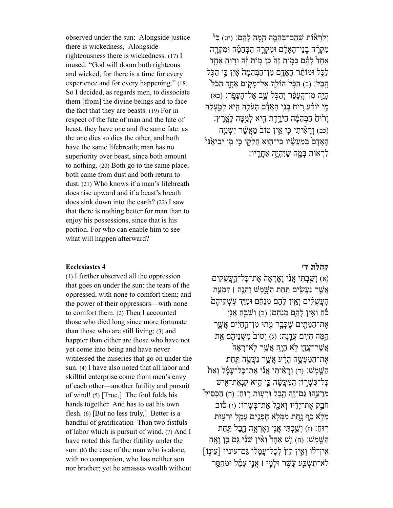observed under the sun: Alongside justice there is wickedness, Alongside righteousness there is wickedness. (17) I mused: "God will doom both righteous and wicked, for there is a time for every experience and for every happening." (18) So I decided, as regards men, to dissociate them [from] the divine beings and to face the fact that they are beasts. (19) For in respect of the fate of man and the fate of beast, they have one and the same fate: as the one dies so dies the other, and both have the same lifebreath; man has no superiority over beast, since both amount to nothing. (20) Both go to the same place; both came from dust and both return to dust. (21) Who knows if a man's lifebreath does rise upward and if a beast's breath does sink down into the earth? (22) I saw that there is nothing better for man than to enjoy his possessions, since that is his portion. For who can enable him to see what will happen afterward?

## **[קהלת ד׳](https://www.sefaria.org/Ecclesiastes.4) [4 Ecclesiastes](https://www.sefaria.org/Ecclesiastes.4)**

(1) I further observed all the oppression that goes on under the sun: the tears of the oppressed, with none to comfort them; and the power of their oppressors—with none to comfort them. (2) Then I accounted those who died long since more fortunate than those who are still living; (3) and happier than either are those who have not yet come into being and have never witnessed the miseries that go on under the sun. (4) I have also noted that all labor and skillful enterprise come from men's envy of each other—another futility and pursuit of wind! (5) [True,] The fool folds his hands together And has to eat his own flesh. (6) [But no less truly,] Better is a handful of gratification Than two fistfuls of labor which is pursuit of wind. (7) And I have noted this further futility under the sun: (8) the case of the man who is alone, with no companion, who has neither son nor brother; yet he amasses wealth without

וְלִרְאוֹת שְׁהֶם־בְּהֶמֶה הֶמֵּה לָהֱם: (יט) כִּיْ מִקְרֶה בֶּנֵי־הָאֲדָ׳ם וּמִקְרֶה הַבְּהֶמָּ֫ה וּמִקְרֶה אֶחד לִהֶם כִּמְוֹת זֶה כֵּן מִוֹת זֶה וְרוּחַ אֶחִד לַכִּל וּמוֹתַּר האדָם מִן־הַבְּהֵמה אִיָן כֵּי הַכִּל הֶבֶל: (כ) הַכְּׂל הוֹלֵךְ אֶל־מָקְוֹם אֶחֱד הַכֹּל<sup>י</sup> הִיָּה מִן־הֲעַפָּר וְהָכָּל שָׁב אֱל־הֲעַפָּר: (כא) מִי יוֹדָ֫עַ רוּחַ בְּנֵי הַאֲדָּ֫ם הַעֹּלֵה הִיא לְמֵעָלָה וְר<sup>ַ</sup>וּחַ הַבְּהֶמָ֫ה הַיֹּרֱדֶת הִיא לְמֵטַּה לַאֲרֶץ: (כב) וְרָאָיתִי כֵּי אֵין טוֹב<sup>י</sup> מֵאֲשֶׁר יִשְׂמַח הַאַדַםۢ בְּמַעֲשָׂיו כִּי־הָוּא חֶלְקֶוֹ כְּי מְי יְבִיאֶ<sup>ְ</sup>נּוּ <u>לְרָאוֹת בְּמֶה שֵׁיָּהְיָה אַחֲרִין:</u>

(א) וְ שֵׁבְתֵּי אֲנִ֫י וַאֲרָאֶה אֶת־כַּל־הֻעֲשָׁקִים אַשֵׁר נַעֲשִׂים תַּחַת הַשַּׁמֵשׁ וְהִנֵּה | דִּמְעַת הַעֲשָׁקִים וְאֵין לַהֶםۢ מְנַחֵם וּמְיַּד עִׂשְׁקֵיהֶם כֹּם וְאֵין לָהֶם מִנַחֵם: (ב) וְשַׁבֵּם אֲנֵי אֶת־הַמֶּתִים שֶׁכָּבֶר מֵתוּ מִן־הַחַיִּּים אֲשֵׁר הֵמֵה חַיִּים עֲדֶנָה: (ג) וְטוֹב<sup>י</sup> מִשְׁנֵיהֶם אֵת ֿאֲשֶׁר־עֲדֶן לֹא הַיָה אֲשֱר לֹא־רַאַה אֶת־הַמַּעֲשֶׂה הַרָּע אֲשֶׁר נַעֲשָׂה חַתַּת הַשָּׁמֶשׁ: (ד) וְרָאֵיתֵי אֲנִי אֶת־כַּל־עַמָּׁל וְאֶת כַּל־כָּשָׁרוֹן הַמַּעֲשֶׂה כֵּי הֵיא קִנְאַת־אִישׁ מֵרֲ עֵֽהוּ גַּם־זֶה הֱבֶל וּרְעִוּת רְוּחַ: (ה) הַכְּסִיל<sup>וֹ</sup> חֹבֵק אֶת־יַדָּ֫יו וְאֹכֵל אֶת־בְּשֶׂרְוֹ: (ו) טוֹב מִלְא כַף נַחַת מִמְּלְא חַפְנֵיִם עַמֲל וּרְעִוּת ּרְוּחַ: (ז) וְשַׁבְתִּי אֲנֵי וָאֶרְאֶה הֶבָל תַּחַת הַשֵּׁמֶשׁ: (ח) יֵשׁ אֶחַד<sup>ָּ</sup> וְאֵ<sup>ׂנְ</sup> יָעֲלִי גֵּם בֵּן וַאָּח [אֵין קֵץׂ לְכָל־עֲמֵלֹוֹ גַּם־עיניו [עֵינָוֹ לֹא־תִשְׂבַּע עַׂשֶׁר וּלְמֵי ן אֲנֵי עֹמֶ֫ל וּמִחַסֵּר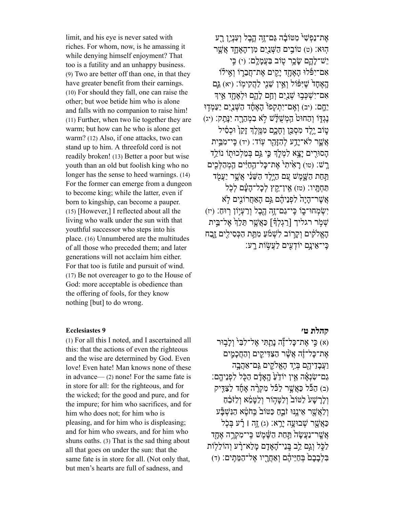limit, and his eye is never sated with riches. For whom, now, is he amassing it while denying himself enjoyment? That too is a futility and an unhappy business. (9) Two are better off than one, in that they have greater benefit from their earnings. (10) For should they fall, one can raise the other; but woe betide him who is alone and falls with no companion to raise him! (11) Further, when two lie together they are warm; but how can he who is alone get warm? (12) Also, if one attacks, two can stand up to him. A threefold cord is not readily broken! (13) Better a poor but wise youth than an old but foolish king who no longer has the sense to heed warnings. (14) For the former can emerge from a dungeon to become king; while the latter, even if born to kingship, can become a pauper. (15) [However,] I reflected about all the living who walk under the sun with that youthful successor who steps into his place. (16) Unnumbered are the multitudes of all those who preceded them; and later generations will not acclaim him either. For that too is futile and pursuit of wind. (17) Be not overeager to go to the House of God: more acceptable is obedience than the offering of fools, for they know nothing [but] to do wrong.

# אֶת־נַפְשָׁי<sup>{</sup> מְטּוֹבָד גַּם־זֶה הֱבֶל וְעָנְיֵן רָע הִוּא: (ט) טוֹבֵים הַשָּׁנַיִם מִן־הַאֲחַד אֲשֱר יֵשׁ־לָהֱם שֲׂכֵר טְוֹב בַּעֲמָלֵם: (י) כִּי אָם־יִפֿלוּ הָאֶחָד יִקִים אֶת־חֲבֵרוֹ וְאֵילֹוֹ הַאֲחָד<sup>ָ</sup> שֶׁיִּפּׂוֹל וְאֵין שֶׁנֵי לַהֲקִימְוֹ: (יא) גַּם אִם־יִשְׁכָּבִוּ שְׁנַיִם וְחֵם לַהֱם וּלְאֶחֶד אֵיךִ יֵחֲם: (יב) וְאֵם־יִתְקְפוֹּ הָאֱחָד הַשֶּׁנֵיִם יַעַמְדִוּ נֶגְדָוֹ וְהַחוּט<sup>ַ</sup> הַמְשָׁלַּשׁ לֹא בִמְהֵרָה יִנַּתֵּק: (יג) טֶוֹב יֵלֶד מִסְכֵּן וְחָכֵם מְמֵלֵךְ זַקֵן וּכִסְיל  $\eta$ ַר לְאֹ־יָדָע לְהִזָּהֵר עֲוֹד: (יד) כְּי־מִבֵּית הסוּרִים יצָא לִמְלֹדְ כֵּי גֵּם בִּמַלְכוּתוֹ נוֹלֵד רֵשׁ: (טו) רַאָיתִי אֱת־כַּל־הָחַיִּים הַמְהַלְּכִים תַּחַת הַשֵּׁמִּשׁ עִבּם הַיֵּלֵד הַשֶּׁנִּי אֲשֱר יַעֲמִד תַּחֲתִּיו: (טז) אֵין־קֵץ לְכַל־הִעָּ֫ם לְכָל  $\lambda$ אֲשֶׁר־הָיָה לִפְנֵיהֶם גַּם הַאַחֲרוֹנִים לֹא יִשְׂמְחוּ־בָוֹ כֵּי־גַם־זֶה הֶבֶל וְרַעְיִוֹן רִוּחַ: (יז) שְׁמֹר רגליך [רַגְלִד ] כַּאֲשֶׁר תֵּלֵךְ אֱל־בֵית הַאֱלֹקִים וְקֵרוֹב לִשְׁמֹּעַ מְתֵּת הַכְּסִילִים זַבַח כִּֽ י־אֵ ינָ ֥ם יוֹדְ עִ ֖ ים לַעֲשׂ֥ וֹת רָֽ ע׃

## **[קהלת ט׳](https://www.sefaria.org/Ecclesiastes.9) [9 Ecclesiastes](https://www.sefaria.org/Ecclesiastes.9)**

(1) For all this I noted, and I ascertained all this: that the actions of even the righteous and the wise are determined by God. Even love! Even hate! Man knows none of these in advance— (2) none! For the same fate is in store for all: for the righteous, and for the wicked; for the good and pure, and for the impure; for him who sacrifices, and for him who does not; for him who is pleasing, and for him who is displeasing; and for him who swears, and for him who shuns oaths. (3) That is the sad thing about all that goes on under the sun: that the same fate is in store for all. (Not only that, but men's hearts are full of sadness, and

(א) כֵּי אֱת־כַּל־זֶה נַתֲתֵּי אֱל־לִבְּיֹ וְלִבְוּר אֶת־כַּל־זֶה אֱשֶׁׁר הַצַּדִּיקֵים וְהַחֲכָמֵים וַעֲבָדֵיהֶם בְּיַדָ הָאֱלֹקֵים גִַּם־אַהֲבָה גַם־שִׂנְאָ֫ה אֵין יוֹדֵ<sup>י</sup>עַׂ הַאֲדָם הַכִּל לִפְנֵיהֵם: (ב) הַכَّל כַּאֲשֶׁר לַכֿֿל מִקְרָה אֲחָד לַצַּדִּיק וְלִרְשָׁעֹ לַטּוֹב<sup>י</sup> וְלַטְהָוֹר וְלַטְּמָ֫א וְלָזֹּבָ֫חַ וַ רַאֲשֶׁר אֵינֵנּוּ זֹבֵחַ כַּטּוֹב<sup>י</sup> כַּחֹטָא הַנָּשָׁבֵּע כַּאֲשֵׁר שְׁבוּעֲה יַרֵא: (ג) זֶה | רַ֫ע בִּכָ*ל* אַשֶׁר־נַעֲשׂה תַּחַת הַשֶּׁמַשׁ כִּי־מִקְרֶה אֶחָד לַכָּל וְגַם לֵב בֵּנֵי־הָאֲדָם מַלֵא־רָ֫ע וְהוֹלֵלְוֹת בְּלְבָבָםׂ בְּחַיֵּיהֶם וְאַחֲרִיו אֱל־הַמֶּתִים: (ד)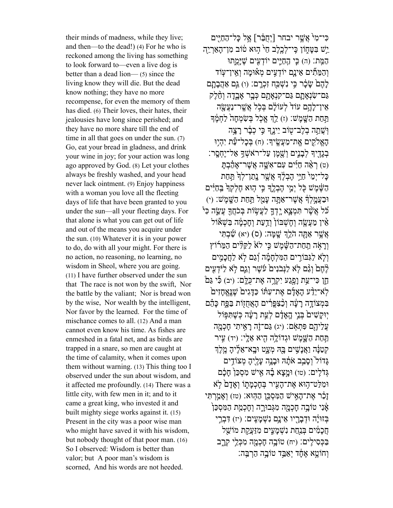their minds of madness, while they live; and then—to the dead!) (4) For he who is reckoned among the living has something to look forward to—even a live dog is better than a dead lion— (5) since the living know they will die. But the dead know nothing; they have no more recompense, for even the memory of them has died. (6) Their loves, their hates, their jealousies have long since perished; and they have no more share till the end of time in all that goes on under the sun. (7) Go, eat your bread in gladness, and drink your wine in joy; for your action was long ago approved by God. (8) Let your clothes always be freshly washed, and your head never lack ointment. (9) Enjoy happiness with a woman you love all the fleeting days of life that have been granted to you under the sun—all your fleeting days. For that alone is what you can get out of life and out of the means you acquire under the sun. (10) Whatever it is in your power to do, do with all your might. For there is no action, no reasoning, no learning, no wisdom in Sheol, where you are going. (11) I have further observed under the sun that The race is not won by the swift, Nor the battle by the valiant; Nor is bread won by the wise, Nor wealth by the intelligent, Nor favor by the learned. For the time of mischance comes to all. (12) And a man cannot even know his time. As fishes are enmeshed in a fatal net, and as birds are trapped in a snare, so men are caught at the time of calamity, when it comes upon them without warning. (13) This thing too I observed under the sun about wisdom, and it affected me profoundly. (14) There was a little city, with few men in it; and to it came a great king, who invested it and built mighty siege works against it. (15) Present in the city was a poor wise man who might have saved it with his wisdom, but nobody thought of that poor man. (16) So I observed: Wisdom is better than valor; but A poor man's wisdom is scorned, And his words are not heeded.

כִּי־מִ<sup>ַּ</sup> אֲשֱר יבחר [יִחָבַּ֫ר] אֱל כַּל־הַחַיִּים יֵשׁ בִּטֲחָוֹן כֵּי־לָכֶלֶב חַיּ הִוּא טֹוֹב מִן־הָאַרְיֵה הַמֵּ֑ת: (ה) כִּי הַחַיֵּים יוֹדְעִים שֶׁיַּמֶתוּ וְהַמֵּתִּים אֵינָם יוֹדְעֵים מִאוּמה וְאֵין־עַוֹד לְהֶם שַׁכָּר כִּי נִשְׁכַּח זִכְרֵם: (ו) גַּם אַהֲבָתָם גַּם־שִׂנְאַתֵם גַּם־קִנְאַתַם כְּבֵר אָבֵדָה וְחֶ֫לֶק אֵין־לַהֱם עוֹד<sup>י</sup> לְעוֹלַם בְּכִ<sup>ָ</sup>ל אֲשֱר־נַעֲשֶׂה תַּחַת הַשֵּׁמֵ<sup>ּ</sup>שׁ: (ז) לֵךְ אֱכָׂל בְּשָׂמְחָה לַחָמֶךְ וּשֵׁתֵה בְלֶב־טִוֹּב יֵיְנֵךְ כֵּי כְבָר רַצֵּה הָאֱלֹקִים אֱת־מַעֲשֵׂיךָ: (ח) בְּכַל־עֶּ֫ת יִהְיִוּ ּבְגֶדֶיִדְ לְבָנֵים וְשֶׁמֶן עַל־רֹאשָׁךָ אַל־יֶחָסֶר: (ט) רְאֶה חַיִּים עִם־אָשֵׁה אֲשֶׁר־אַהָבְתַּ כַּל־יִמֶי הֲבָלֶךְ אֲשֶׁר נַתַּו־לְךָ תַּחַת הַשֵּׁמֵ֥ כִּל יָמֵי הֶבְלֶךְ כִּי הָוּא חֶלְקְךָ בְַּחַיִּּים ּוּבַעֲמֵלְךָ אֲשֶׁר־אַתָּה עַמֵל תַּחַת הַשֵּׁמָשׁ: (י) כֹּל אֲשֶׁר תִּמְצֵא יָדְךָּ לַעֲשׂוֹת בְּכֹחֲדְ עֲשֵׂה כִּיْ אֵין מַעֲשֶׂה וְחֲשָׁבּוֹן וְדַעַת וְחִכְמֹה בִּשָׁאוֹל אֲשֶׁר אֲתָּה הָלֵךְ שָׁמֵּה: (ס) (יא) שַׁבְתֵּי וְרְאָה תַּחַת־הַשֵּׁמַשׁ כֵּי לֹאַ לַקַּלִּים הַמֵּרוֹץ וְלָא לַגְּבּוֹרִים הַמְּלְחַמָּה וְੈגַם לְא לַחֲכָמֵים לֶחֵם וְגָם לֹא לַנְבֹנִים עֹשֶׁר וְגֵם לֹא לִיּדְעֵים חֵן כִּי־עֵת וָפֶגַע יִקְרֶה אֶת־כֻּלֵּם: (יב) כִּי גַּםْ לֹא־יֵדָע האדם אֶת־עָתוֹ כַּדּגִים שֶׁנֵּאֶחזִים בִּמְצוֹדֵה רַעָּׁה וְכָ֫צְפֵּרִ֫ים הַאֲחֲזוֹת בַּפֵּח כַּהֶ֫ם יִוּקַשִׁים์ בְּנֵי הָאָדָם לְעֵת רַעָּׂה כִּשֶׁתִּפִּוֹל עֲלֵיהֶם פִּתְאָם: (יג) גַּם־זֶה רַאֵיתִי חַכְמַה תַּחַת הַשֵּׁמֵשׁ וּגְדוֹלֵה הָיא אֱלֵי: (יד) עִיר קְטַנָּה וַאֲנִשִׁים בַּהְ מְעָט וּבָא־אֱלֶיה מֵלֶךְ גַּדוֹל<sup>י</sup>וְסַבֵּב אֹתָה וּבַנֵה עַלֵיהַ מְצוֹדֵים גְדֹלִים: (טו) וּמֵצָא בָ֫ה אֵישׁ מִסְכֵּן חַכָּם וּמִלַט־הִוּא אֶת־הָעִיר בְּחֲכְמַתְוֹ וְאֲדָםׂ לְא זַכַּר אֶת־הָאֵישׁ הַמִּסְכֵּן הַהִּוּא: (טז) וְאֲמַרְתִּי אָנִי טוֹבֵה חַכְמַה מְגִּבוּרֵה וְחַכְמַת הַמְּסְכֵּן<sup>{</sup> בְּזוּיַּה וּדְבָרִיו אֵינֵם נִשְׁמַעֵים: (יז) דִּבְרֵי חֲכָמִ֫ים בְּנַחֵת נִשְׁמַעֲים מִזַּעֲקַת מוֹשֵׁל ּבַּכְסִילֵים: (יח) טוֹבֲה חַכְמָה מִכְּלֵי קְרֶב וְחוֹטֵא אֶחֶד יְאַבֵּד טוֹבָה הַרְבֵּה: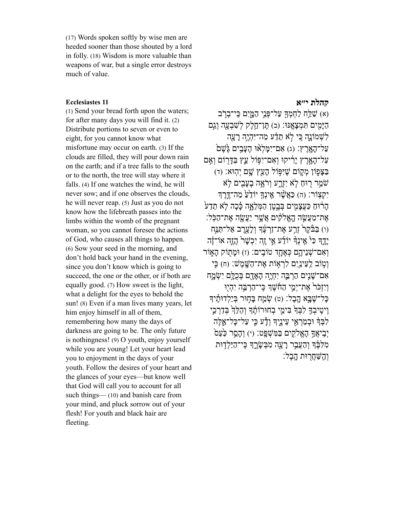(17) Words spoken softly by wise men are heeded sooner than those shouted by a lord in folly. (18) Wisdom is more valuable than weapons of war, but a single error destroys much of value.

### **[Ecclesiastes 11](https://www.sefaria.org/Ecclesiastes.11)**

(1) Send your bread forth upon the waters; for after many days you will find it. (2) Distribute portions to seven or even to eight, for you cannot know what misfortune may occur on earth. (3) If the clouds are filled, they will pour down rain on the earth; and if a tree falls to the south or to the north, the tree will stay where it falls. (4) If one watches the wind, he will never sow; and if one observes the clouds, he will never reap. (5) Just as you do not know how the lifebreath passes into the limbs within the womb of the pregnant woman, so you cannot foresee the actions of God, who causes all things to happen. (6) Sow your seed in the morning, and don't hold back your hand in the evening, since you don't know which is going to succeed, the one or the other, or if both are equally good. (7) How sweet is the light, what a delight for the eyes to behold the sun! (8) Even if a man lives many years, let him enjoy himself in all of them, remembering how many the days of darkness are going to be. The only future is nothingness! (9) O youth, enjoy yourself while you are young! Let your heart lead you to enjoyment in the days of your youth. Follow the desires of your heart and the glances of your eyes—but know well that God will call you to account for all such things— (10) and banish care from your mind, and pluck sorrow out of your flesh! For youth and black hair are fleeting.

### **[קהלת י״א](https://www.sefaria.org/Ecclesiastes.11)**

(א) שַׁלַּח לַחָמְךָ עַל־פְּנֵי הַמֵּיִם כֵּי־בְרֹֽב הַיָּמִים תִּמְצַאֲנּוּ: (ב) תֵּוְ־חֱלֶק לְשָׁבְעָה וְגַם לִשְׁמוֹנֵה כִּי לֹא תֵדַע מַה־יִּהְיֵה רַעֲה  $\alpha$ עַל־הָאָרֶץ: (ג) אָם־יִמַּלְאוּ הֶעַבִים גֶּ $\psi$ ם עַל־הָאָרֶץ ירִיקוּ וְאָם־יִפְּוֹל עֵץ בַּדְּרוֹם וְאָם ִ בַּצָּפ֑ וֹן מְ ק֛ וֹם שֶׁ יּפּ֥ וֹל הָעֵ֖ץ שָׁ ֥ ם יְהֽ וּא׃ (ד) ֹשׁמֵר רִוּחַ לֹא יִזְרֵע וְרֹאֱה בֶעֲבִים לֹא יִקְצָוֹר: (ה) כַּאֲשֶׁר אֵינִךְ יוֹדָ<sup>ׂ</sup>עַ מַה־דֶּרֶךְ הַרֹּוּחַ כַּעֲצָמִים בְּבֵטֶן הַמְּלֵאָה כַּ֫כַה לִא תֵדַע<sup>ַ</sup> אֶת־מַעֲשֶׂה הֲאֱלֹקִים אֲשֱר יַעֲשֶׂה אֶת־הַכִּל: (ו) בַּבֹּקֵרוּ זְרֵע אֱת־זַרְעֶד וְלִעֲרָב אֲל־תַּנַּח יָדֶךְ כִּיْ אֵינָךָ יוֹדָע אֵי זֶה יִכְשַׁר<sup>וֹ</sup> הֲזֶה אוֹ־זֶה וְ הָמַתְ*וֹק הָאֲדָה* כְּאֶחָד טוֹבֵים: (ז) וּמַתְוֹק הָאָוֹר וְטְוֹב לֵעֵינַיִם לְרָאָוֹת אֶת־הַשֵּׁמֶשׁ: (ח) כֵּי אַם־שַׁנֵים הַרְבֵּה יְחֶיֶה האדם בְּכַלִּם יְשָׂמַח וְיִזְכֹּר אֱת־יְמֵי הַחֹּשֶׁךָ בֵּי־הַרְבֵֵּה יְהָיִוּ כַּל־שֶׁבָּא הָבָל: (ט) שָׂמַח בַּחָוּר בְּיַלְדוּתֵ֫יךָ וֵיטֵיבְדָּ לִבְּבְ בִּימֵי בְחוּרוֹתֵדְ וְהַלֵּךְ בְּדַרְכֵי לִבְּדָ וּבְמַרְאֵי עֵינֵיִךְ וְדָע כִּי עַל־כַּל־אֵלֶּה יִבִיאֲךָ הָאֱלִקִים בַּמִּשְׁפֵּט: (י) וְהָסֵר כַּעֲסֹ מִלְבֶּ֫דְּ וְהַעֲבֵ֣ר רָעָה מִבְשָׂרֶדְ כִּי־הַיַּלְדָוּת וְהֵשַׁחֲרִוּת הַבֶּל: